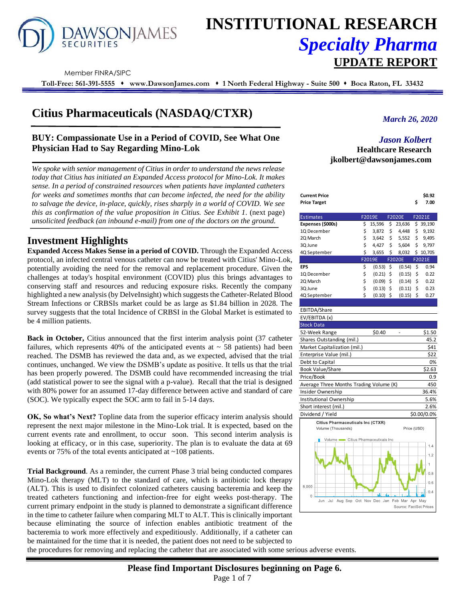

# **INSTITUTIONAL RESEARCH** *Specialty Pharma*  **UPDATE REPORT**

Member FINRA/SIPC

**Toll-Free: 561-391-5555** ⬧ **www.DawsonJames.com** ⬧ **1 North Federal Highway - Suite 500** ⬧ **Boca Raton, FL 33432**

# **Citius Pharmaceuticals (NASDAQ/CTXR)**

### **BUY: Compassionate Use in a Period of COVID, See What One Physician Had to Say Regarding Mino-Lok**

*We spoke with senior management of Citius in order to understand the news release today that Citius has initiated an Expanded Access protocol for Mino-Lok. It makes sense. In a period of constrained resources when patients have implanted catheters for weeks and sometimes months that can become infected, the need for the ability to salvage the device, in-place, quickly, rises sharply in a world of COVID. We see this as confirmation of the value proposition in Citius. See Exhibit 1*. (next page) *unsolicited feedback (an inbound e-mail) from one of the doctors on the ground.*

## **Investment Highlights**

**Expanded Access Makes Sense in a period of COVID.** Through the Expanded Access protocol, an infected central venous catheter can now be treated with Citius' Mino-Lok, potentially avoiding the need for the removal and replacement procedure. Given the challenges at today's hospital environment (COVID) plus this brings advantages to conserving staff and resources and reducing exposure risks. Recently the company highlighted a new analysis (by DelveInsight) which suggests the Catheter-Related Blood Stream Infections or CRBSIs market could be as large as \$1.84 billion in 2028. The survey suggests that the total Incidence of CRBSI in the Global Market is estimated to be 4 million patients.

**Back in October,** Citius announced that the first interim analysis point (37 catheter failures, which represents 40% of the anticipated events at  $\sim$  58 patients) had been reached. The DSMB has reviewed the data and, as we expected, advised that the trial continues, unchanged. We view the DSMB's update as positive. It tells us that the trial has been properly powered. The DSMB could have recommended increasing the trial (add statistical power to see the signal with a p-value). Recall that the trial is designed with 80% power for an assumed 17-day difference between active and standard of care (SOC). We typically expect the SOC arm to fail in 5-14 days.

**OK, So what's Next?** Topline data from the superior efficacy interim analysis should represent the next major milestone in the Mino-Lok trial. It is expected, based on the current events rate and enrollment, to occur soon. This second interim analysis is looking at efficacy, or in this case, superiority. The plan is to evaluate the data at 69 events or 75% of the total events anticipated at ~108 patients.

**Trial Background**. As a reminder, the current Phase 3 trial being conducted compares Mino-Lok therapy (MLT) to the standard of care, which is antibiotic lock therapy (ALT). This is used to disinfect colonized catheters causing bacteremia and keep the treated catheters functioning and infection-free for eight weeks post-therapy. The current primary endpoint in the study is planned to demonstrate a significant difference in the time to catheter failure when comparing MLT to ALT. This is clinically important because eliminating the source of infection enables antibiotic treatment of the bacteremia to work more effectively and expeditiously. Additionally, if a catheter can be maintained for the time that it is needed, the patient does not need to be subjected to

*March 26, 2020*

#### *Jason Kolbert* **Healthcare Research jkolbert@dawsonjames.com**

| Current Price | \$0.92 |
|---------------|--------|
| Price Target  | 7.00   |

| <b>Estimates</b>  | F2019E       |                    | <b>F2020E</b> | F2021E |          |  |
|-------------------|--------------|--------------------|---------------|--------|----------|--|
| Expenses (\$000s) | \$<br>15,596 | \$                 | 23,636        |        | \$39,190 |  |
| 1Q December       | \$<br>3,872  | \$                 | 4.448         | \$     | 9,192    |  |
| 2Q March          | \$<br>3,642  | \$                 | 5,552         | \$     | 9,495    |  |
| 3Q June           | \$<br>4,427  | \$                 | 5,604         | \$     | 9.797    |  |
| 4Q September      | \$<br>3,655  | \$                 | 8,032         |        | \$10,705 |  |
|                   | F2019E       |                    | <b>F2020E</b> |        | F2021E   |  |
| EPS               | \$<br>(0.53) | \$                 | (0.54)        | \$     | 0.94     |  |
| 1Q December       | \$<br>(0.21) | \$                 | (0.15)        | \$     | 0.22     |  |
| 2Q March          | \$<br>(0.09) | $\ddot{\varsigma}$ | (0.14)        | Ś      | 0.22     |  |
| 3Q June           | \$<br>(0.13) | \$                 | (0.11)        | Ś      | 0.23     |  |
| 4Q September      | \$<br>(0.10) | \$                 | (0.15)        | \$     | 0.27     |  |

#### EBITDA/Share EV/EBITDA (x) Stock Data 52-Week Range \$0.40 - \$1.50 Shares Outstanding (mil.) 45.2 Market Capitalization (mil.) \$41 Enterprise Value (mil.) \$22 Debt to Capital 0% Book Value/Share \$2.63 Price/Book 0.9 Average Three Months Trading Volume (K) 450 Insider Ownership 36.4%<br>Institutional Ownership 5.6% Institutional Ownership 5.6% Short interest (mil.) 2.6% Dividend / Yield \$0.00/0.0% Citius Pharmaceuticals Inc (CTXR) Volume (Thousands) Price (USD) Citius Pharmaceuticals Inc

 $\overline{1}$  $1.2$ 

 $0.8$ 



the procedures for removing and replacing the catheter that are associated with some serious adverse events.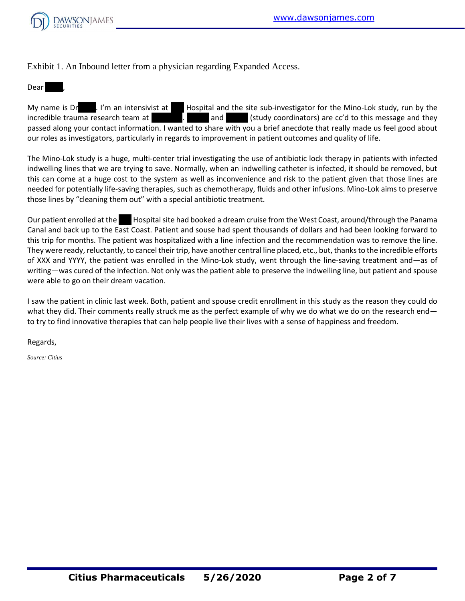

Exhibit 1. An Inbound letter from a physician regarding Expanded Access.

Dear ,

My name is Dr. I'm an intensivist at Hospital and the site sub-investigator for the Mino-Lok study, run by the incredible trauma research team at  $\begin{array}{ccc} 1 & 1 & 2 \end{array}$  and  $\begin{array}{ccc} 2 & 3 & 3 \end{array}$  (study coordinators) are cc'd to this message and they passed along your contact information. I wanted to share with you a brief anecdote that really made us feel good about our roles as investigators, particularly in regards to improvement in patient outcomes and quality of life.

The Mino-Lok study is a huge, multi-center trial investigating the use of antibiotic lock therapy in patients with infected indwelling lines that we are trying to save. Normally, when an indwelling catheter is infected, it should be removed, but this can come at a huge cost to the system as well as inconvenience and risk to the patient given that those lines are needed for potentially life-saving therapies, such as chemotherapy, fluids and other infusions. Mino-Lok aims to preserve those lines by "cleaning them out" with a special antibiotic treatment.

Our patient enrolled at the Kospital site had booked a dream cruise from the West Coast, around/through the Panama Canal and back up to the East Coast. Patient and souse had spent thousands of dollars and had been looking forward to this trip for months. The patient was hospitalized with a line infection and the recommendation was to remove the line. They were ready, reluctantly, to cancel their trip, have another central line placed, etc., but, thanks to the incredible efforts of XXX and YYYY, the patient was enrolled in the Mino-Lok study, went through the line-saving treatment and—as of writing—was cured of the infection. Not only was the patient able to preserve the indwelling line, but patient and spouse were able to go on their dream vacation.

I saw the patient in clinic last week. Both, patient and spouse credit enrollment in this study as the reason they could do what they did. Their comments really struck me as the perfect example of why we do what we do on the research end to try to find innovative therapies that can help people live their lives with a sense of happiness and freedom.

Regards,

*Source: Citius*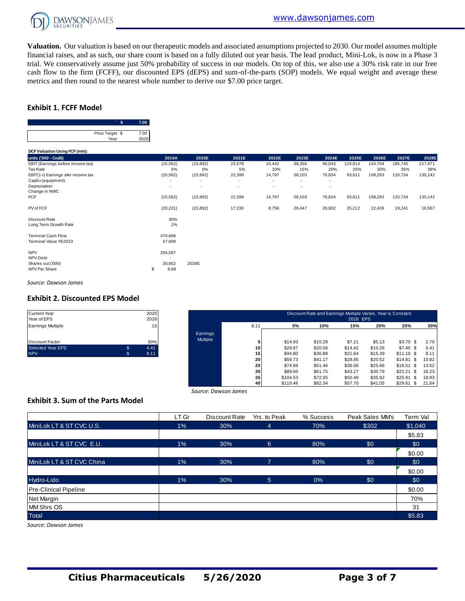

**Valuation.** Our valuation is based on our therapeutic models and associated assumptions projected to 2030. Our model assumes multiple financial raises, and as such, our share count is based on a fully diluted out year basis. The lead product, Mini-Lok, is now in a Phase 3 trial. We conservatively assume just 50% probability of success in our models. On top of this, we also use a 30% risk rate in our free cash flow to the firm (FCFF), our discounted EPS (dEPS) and sum-of-the-parts (SOP) models. We equal weight and average these metrics and then round to the nearest whole number to derive our \$7.00 price target.

#### **Exhibit 1. FCFF Model**



|                                                              | Price Target \$<br>Year | 7.00<br>2020 |                           |           |        |        |        |        |         |         |         |         |
|--------------------------------------------------------------|-------------------------|--------------|---------------------------|-----------|--------|--------|--------|--------|---------|---------|---------|---------|
| DCF Valuation Using FCF (mln):                               |                         |              |                           |           |        |        |        |        |         |         |         |         |
| units ('000 - Cnd\$)                                         |                         |              | 2019A                     | 2020E     | 2021E  | 2022E  | 2023E  | 2024E  | 2025E   | 2026E   | 2027E   | 2028E   |
| EBIT (Earnings before income tax)                            |                         |              | (15, 562)                 | (15, 892) | 23,578 | 16,442 | 68,356 | 96,043 | 124,814 | 154,704 | 185,745 | 217,971 |
| Tax Rate                                                     |                         |              | 0%                        | 0%        | 5%     | 10%    | 15%    | 20%    | 25%     | 30%     | 35%     | 38%     |
| EBIT(1-t) Earnings afer income tax                           |                         |              | (15, 562)                 | (15, 892) | 22,399 | 14,797 | 58,103 | 76,834 | 93,611  | 108,293 | 120,734 | 135,142 |
| CapEx (equipment)                                            |                         |              | ٠                         | ٠         | ٠      | ٠      | ٠      | ٠      |         |         |         |         |
| Depreciation                                                 |                         |              | ٠                         | $\sim$    | ٠      | ٠      | ٠      | ٠      |         |         |         |         |
| Change in NWC                                                |                         |              |                           |           |        |        |        |        |         |         |         |         |
| <b>FCF</b>                                                   |                         |              | (15, 562)                 | (15, 892) | 22,399 | 14,797 | 58,103 | 76,834 | 93,611  | 108,293 | 120,734 | 135,142 |
| PV of FCF                                                    |                         |              | (20, 231)                 | (15, 892) | 17,230 | 8,756  | 26,447 | 26,902 | 25,212  | 22,436  | 19,241  | 16,567  |
| Discount Rate<br>Long Term Growth Rate                       |                         |              | 30%<br>1%                 |           |        |        |        |        |         |         |         |         |
| <b>Terminal Cash Flow</b><br>Terminal Value YE2023           |                         |              | 470,666<br>57,699         |           |        |        |        |        |         |         |         |         |
| <b>NPV</b><br>NPV-Debt<br>Shares out ('000)<br>NPV Per Share |                         | \$           | 204,597<br>30,602<br>6.69 | 2028E     |        |        |        |        |         |         |         |         |

*Source: Dawson James*

#### **Exhibit 2. Discounted EPS Model**

| <b>Current Year</b>      |    | 2020 |
|--------------------------|----|------|
| Year of EPS              |    | 2028 |
| Earnings Multiple        |    | 15   |
|                          |    |      |
| <b>Discount Factor</b>   |    | 30%  |
| <b>Selected Year EPS</b> | S  | 4.41 |
| <b>NPV</b>               | S. | 8.11 |

| Current Year<br>Year of EPS |    | 2020<br>2028 |                 |                 |          | Discount Rate and Earnings Multiple Varies, Year is Constant | 2028 EPS |         |                 |       |
|-----------------------------|----|--------------|-----------------|-----------------|----------|--------------------------------------------------------------|----------|---------|-----------------|-------|
| Earnings Multiple           |    | 15           |                 | 8.11            | 5%       | 10%                                                          | 15%      | 20%     | 25%             | 30%   |
|                             |    |              | <b>Earnings</b> |                 |          |                                                              |          |         |                 |       |
| Discount Factor             |    | 30%          | Multiple        |                 | \$14.93  | \$10.29                                                      | \$7.21   | \$5.13  | \$3.70 \$       | 2.70  |
| Selected Year EPS           | \$ | 4.41         |                 | 10 <sup>1</sup> | \$29.87  | \$20.58                                                      | \$14.42  | \$10.26 | $$7.40$ \$      | 5.41  |
| <b>NPV</b>                  | S. | 8.11         |                 | 15              | \$44.80  | \$30.88                                                      | \$21.64  | \$15.39 | $$11.10$ \$     | 8.11  |
|                             |    |              |                 | 20              | \$59.73  | \$41.17                                                      | \$28.85  | \$20.52 | \$14.81<br>- \$ | 10.82 |
|                             |    |              |                 | 25              | \$74.66  | \$51.46                                                      | \$36.06  | \$25.66 | \$18.51<br>-S   | 13.52 |
|                             |    |              |                 | 30 <sub>1</sub> | \$89.60  | \$61.75                                                      | \$43.27  | \$30.79 | \$22.21<br>\$.  | 16.23 |
|                             |    |              |                 | 35              | \$104.53 | \$72.05                                                      | \$50.49  | \$35.92 | \$25.91<br>-S   | 18.93 |
|                             |    |              |                 | 40              | \$119.46 | \$82.34                                                      | \$57.70  | \$41.05 | \$29.61<br>- SS | 21.64 |

#### **Exhibit 3. Sum of the Parts Model**

|                                          |       | Source: Dawson James |                |           |                 |          |
|------------------------------------------|-------|----------------------|----------------|-----------|-----------------|----------|
| <b>Exhibit 3. Sum of the Parts Model</b> |       |                      |                |           |                 |          |
|                                          | LT Gr | Discount Rate        | Yrs. to Peak   | % Success | Peak Sales MM's | Term Val |
| MiniLok LT & ST CVC U.S.                 | $1\%$ | 30%                  | 4              | 70%       | \$302           | \$1,040  |
|                                          |       |                      |                |           |                 | \$5.83   |
| MiniLok LT & ST CVC E.U.                 | $1\%$ | 30%                  | $6^{\circ}$    | 80%       | \$0             | \$0      |
|                                          |       |                      |                |           |                 | \$0.00   |
| MiniLok LT & ST CVC China                | $1\%$ | 30%                  | $\overline{7}$ | 80%       | \$0             | \$0      |
|                                          |       |                      |                |           |                 | \$0.00   |
| Hydro-Lido                               | $1\%$ | 30%                  | $\overline{5}$ | $0\%$     | \$0             | \$0      |
| <b>Pre-Clinical Pipeline</b>             |       |                      |                |           |                 | \$0.00   |
| Net Margin                               |       |                      |                |           |                 | 70%      |
| MM Shrs OS                               |       |                      |                |           |                 | 31       |
| <b>Total</b>                             |       |                      |                |           |                 | \$5.83   |

*Source: Dawson James*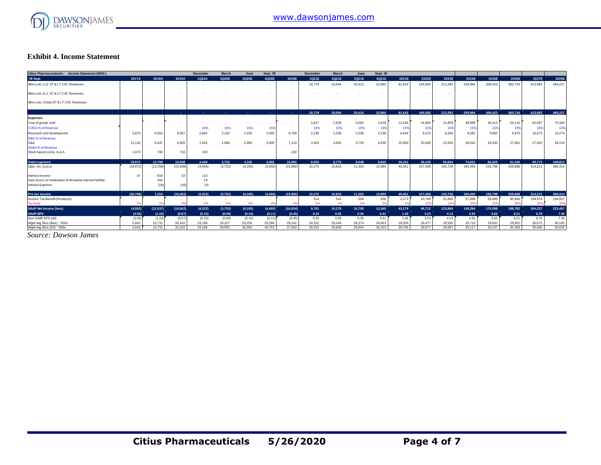

#### **Exhibit 4. Income Statement**

| Citius Pharmaceuticals: Income Statement (\$000)           |           |           |                          | December   | March                    | June                     | Sept. YE   |                          | <b>December</b> | March  | June   | Sept. YE                 |        |         |                          |         |         |         |         |         |
|------------------------------------------------------------|-----------|-----------|--------------------------|------------|--------------------------|--------------------------|------------|--------------------------|-----------------|--------|--------|--------------------------|--------|---------|--------------------------|---------|---------|---------|---------|---------|
| YE Sept.                                                   | 2017A     | 2018A     | 2019A                    | 1Q20A      | 2Q20E                    | 3Q20E                    | 4Q20E      | 2020E                    | 1Q21E           | 2Q21E  | 3Q21E  | 4Q21E                    | 2021E  | 2022E   | 2023E                    | 2024E   | 2025E   | 2026E   | 2027E   | 2028E   |
| Mino-Lok, U.S. ST & LT CVC Revenues                        |           |           |                          |            |                          |                          |            |                          | 18,778          | 19,594 | 20,410 | 22,860                   | 81,642 | 166,566 | 212,392                  | 259,994 | 309,423 | 360,734 | 413,983 | 469,227 |
| Mino-Lok, E.U. ST & LT CVC Revenues                        |           |           | $\overline{\phantom{a}}$ |            |                          |                          |            | $\overline{\phantom{a}}$ |                 |        |        | $\overline{\phantom{a}}$ | $\sim$ |         | $\overline{\phantom{a}}$ |         |         |         |         |         |
| Mino-Lok, CHina ST & LT CVC Revenues                       |           |           |                          |            |                          |                          |            |                          |                 |        |        |                          |        |         |                          |         |         |         |         |         |
|                                                            |           |           | <b>Section</b>           | <b>COL</b> | <b>COL</b>               | . .                      | <b>COL</b> | <b>COL</b>               | 18,778          | 19.594 | 20,410 | 22.860                   | 81.642 | 166,566 | 212.392                  | 259,994 | 309,423 | 360.734 | 413.983 | 469.227 |
| <b>Expenses</b>                                            |           |           |                          |            |                          |                          |            |                          |                 |        |        |                          |        |         |                          |         |         |         |         |         |
| Cost of goods sold                                         |           |           |                          |            |                          | $\overline{\phantom{a}}$ |            | $\sim$                   | 2,817           | 2,939  | 3,062  | 3,429                    | 12,246 | 24.985  | 31,859                   | 38,999  | 46.413  | 54,110  | 62,097  | 70,384  |
| COGS % of Revenue                                          |           |           |                          | 15%        | 15%                      | 15%                      | 15%        |                          | 15%             | 15%    | 15%    | 15%                      | 15%    | 15%     | 15%                      | 15%     | 15%     | 15%     | 15%     | 15%     |
| Research and development                                   | 5.873     | 6.563     | 8,597                    | 2,665      | 2,192                    | 2,105                    | 2,455      | 8.769                    | 2,236           | 2,236  | 2,236  | 2,236                    | 8,944  | 9.123   | 9,306                    | 9.492   | 9,682   | 9.875   | 10,073  | 10,274  |
| <b>R&amp;D % of Revenue</b>                                |           |           |                          |            |                          |                          |            |                          |                 |        |        |                          |        |         |                          |         |         |         |         |         |
| G&A                                                        | 12,126    | 6.447     | 6,285                    | 1,563      | 1,560                    | 2,000                    | 2,000      | 7,123                    | 3,450           | 3,600  | 3,750  | 4,200                    | 15,000 | 25,000  | 25,500                   | 26,010  | 26,530  | 27,061  | 27,602  | 28,154  |
| <b>SG&amp;A% of Revenue</b>                                |           |           |                          |            |                          |                          |            |                          |                 |        |        |                          |        |         |                          |         |         |         |         |         |
| Stock based comp. G & A                                    | 1.973     | 780       | 716                      | 220        |                          |                          |            | 220                      |                 |        |        |                          |        |         |                          |         |         |         |         |         |
| <b>Total expenses</b>                                      | 19.972    | 13.789    | 15.598                   | 4.448      | 3.752                    | 4.105                    | 4.455      | 15,892                   | 8.503           | 8.775  | 9.048  | 9.865                    | 36.191 | 59.108  | 66.664                   | 74.501  | 82.625  | 91.046  | 99.772  | 108,812 |
| Oper. Inc. (Loss)                                          | (19, 972) | (13, 789) | (15, 598)                | (4, 448)   | (3,752)                  | (4, 105)                 | (4, 455)   | (15, 892)                | 10,275          | 10,819 | 11,363 | 12.995                   | 45.451 | 107.458 | 145.728                  | 185.493 | 226,798 | 269,688 | 314,211 | 360,414 |
| Interest Income                                            | 47        | 818       | 53                       | 110        |                          |                          |            |                          |                 |        |        |                          |        |         |                          |         |         |         |         |         |
| Gain (loss) on revaluation of derivative warrant liability |           | 450       |                          | 19         |                          |                          |            |                          |                 |        |        |                          |        |         |                          |         |         |         |         |         |
| Interest Expense                                           |           | (16)      | (16)                     | (4)        |                          |                          |            |                          |                 |        |        |                          |        |         |                          |         |         |         |         |         |
| Pre-tax income                                             | (20.769)  | 1.253     | (15.562)                 | (4.322)    | (3.752)                  | (4.105)                  | (4.455)    | (15.892)                 | 10.275          | 10.819 | 11.363 | 12.995                   | 45.451 | 107.458 | 145.728                  | 185.493 | 226.798 | 269.688 | 314,211 | 360,414 |
| Income Tax Benefit (Provision)                             | $\sim$    | $\sim$    | $\sim$                   |            | $\overline{\phantom{a}}$ | $\overline{\phantom{a}}$ | $\sim$     | $\overline{\phantom{a}}$ | 514             | 541    | 568    | 650                      | 2,273  | 10,746  | 21,859                   | 37,099  | 56,699  | 80,906  | 109,974 | 136,957 |
| <b>Tax Rate</b>                                            | na        | n%        | 0%                       | 0%         | 0%                       | 0%                       | 0%         |                          | 5%              | 5%     | 5%     | 5%                       | 5%     | 10%     | 15%                      | 20%     | 25%     | 30%     | 355     | 389     |
| <b>GAAP Net Income (loss)</b>                              | (4,952)   | (12, 537) | (15, 562)                | (4,322)    | (3,752)                  | (4, 105)                 | (4, 455)   | (16, 634)                | 9,761           | 10.278 | 10.795 | 12.345                   | 43.179 | 96.712  | 123,869                  | 148.394 | 170.098 | 188,782 | 204.237 | 223,457 |
| <b>GAAP-EPS</b>                                            | (3.55)    | (1.22)    | (0.67)                   | (0.15)     | (0.09)                   | (0.10)                   | (0.11)     | (0.45)                   | 0.33            | 0.35   | 0.36   | 0.41                     | 1.45   | 3.23    | 4.13                     | 4.92    | 5.62    | 6.21    | 6.70    | 7.30    |
| Non GAAP EPS (dil)                                         | (3.55)    | (1.22)    | (0.67)                   | (0.15)     | (0.09)                   | (0.10)                   | (0.11)     | (0.45)                   | 0.33            | 0.35   | 0.36   | 0.41                     | 1.45   | 3.23    | 4.13                     | 4.92    | 5.62    | 6.21    | 6.70    | 7.30    |
| Wgtd Avg Shrs (Bas) - '000s                                | 5.842     | 10.731    | 20.162                   | 29.198     | 29.227                   | 29.256                   | 29.286     | 29.242                   | 29.315          | 29,344 | 29.374 | 29,403                   | 29.359 | 29.477  | 29,595                   | 29.713  | 29.832  | 29.952  | 30.072  | 30,192  |
| Wgtd Avg Shrs (Dil) - '000s                                | 5.842     | 10.731    | 20.162                   | 29.198     | 39,950                   | 40.350                   | 40.753     | 37,563                   | 29.315          | 29,608 | 29,904 | 30.203                   | 29.758 | 29,877  | 29,997                   | 30.117  | 30.237  | 30.358  | 30.480  | 30,602  |

*Source: Dawson James*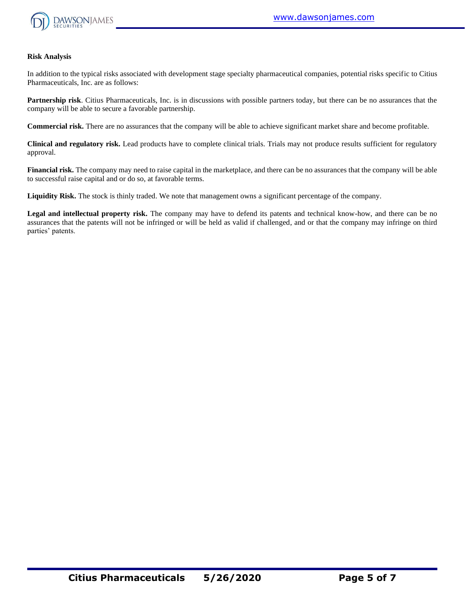

#### **Risk Analysis**

In addition to the typical risks associated with development stage specialty pharmaceutical companies, potential risks specific to Citius Pharmaceuticals, Inc. are as follows:

**Partnership risk**. Citius Pharmaceuticals, Inc. is in discussions with possible partners today, but there can be no assurances that the company will be able to secure a favorable partnership.

**Commercial risk.** There are no assurances that the company will be able to achieve significant market share and become profitable.

**Clinical and regulatory risk.** Lead products have to complete clinical trials. Trials may not produce results sufficient for regulatory approval.

**Financial risk.** The company may need to raise capital in the marketplace, and there can be no assurances that the company will be able to successful raise capital and or do so, at favorable terms.

**Liquidity Risk.** The stock is thinly traded. We note that management owns a significant percentage of the company.

**Legal and intellectual property risk.** The company may have to defend its patents and technical know-how, and there can be no assurances that the patents will not be infringed or will be held as valid if challenged, and or that the company may infringe on third parties' patents.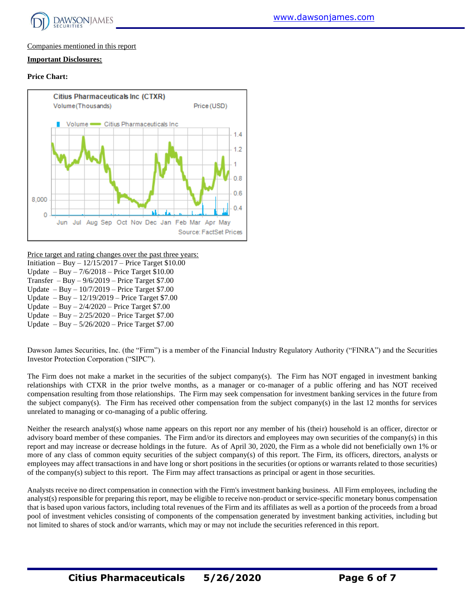

#### Companies mentioned in this report

#### **Important Disclosures:**

#### **Price Chart:**



Price target and rating changes over the past three years:

- Initiation Buy 12/15/2017 Price Target \$10.00
- Update Buy 7/6/2018 Price Target \$10.00
- Transfer Buy  $9/6/2019$  Price Target \$7.00
- Update Buy 10/7/2019 Price Target \$7.00
- Update Buy 12/19/2019 Price Target \$7.00
- Update Buy  $2/4/2020$  Price Target \$7.00
- Update Buy 2/25/2020 Price Target \$7.00
- Update Buy 5/26/2020 Price Target \$7.00

Dawson James Securities, Inc. (the "Firm") is a member of the Financial Industry Regulatory Authority ("FINRA") and the Securities Investor Protection Corporation ("SIPC").

The Firm does not make a market in the securities of the subject company(s). The Firm has NOT engaged in investment banking relationships with CTXR in the prior twelve months, as a manager or co-manager of a public offering and has NOT received compensation resulting from those relationships. The Firm may seek compensation for investment banking services in the future from the subject company(s). The Firm has received other compensation from the subject company(s) in the last 12 months for services unrelated to managing or co-managing of a public offering.

Neither the research analyst(s) whose name appears on this report nor any member of his (their) household is an officer, director or advisory board member of these companies. The Firm and/or its directors and employees may own securities of the company(s) in this report and may increase or decrease holdings in the future. As of April 30, 2020, the Firm as a whole did not beneficially own 1% or more of any class of common equity securities of the subject company(s) of this report. The Firm, its officers, directors, analysts or employees may affect transactions in and have long or short positions in the securities (or options or warrants related to those securities) of the company(s) subject to this report. The Firm may affect transactions as principal or agent in those securities.

Analysts receive no direct compensation in connection with the Firm's investment banking business. All Firm employees, including the analyst(s) responsible for preparing this report, may be eligible to receive non-product or service-specific monetary bonus compensation that is based upon various factors, including total revenues of the Firm and its affiliates as well as a portion of the proceeds from a broad pool of investment vehicles consisting of components of the compensation generated by investment banking activities, including but not limited to shares of stock and/or warrants, which may or may not include the securities referenced in this report.